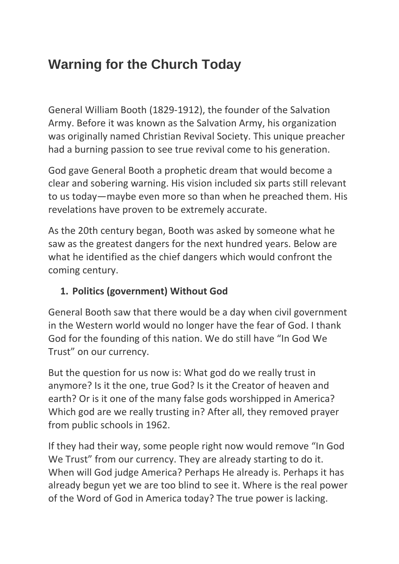# **Warning for the Church Today**

General William Booth (1829-1912), the founder of the Salvation Army. Before it was known as the Salvation Army, his organization was originally named Christian Revival Society. This unique preacher had a burning passion to see true revival come to his generation.

God gave General Booth a prophetic dream that would become a clear and sobering warning. His vision included six parts still relevant to us today—maybe even more so than when he preached them. His revelations have proven to be extremely accurate.

As the 20th century began, Booth was asked by someone what he saw as the greatest dangers for the next hundred years. Below are what he identified as the chief dangers which would confront the coming century.

#### **1. Politics (government) Without God**

General Booth saw that there would be a day when civil government in the Western world would no longer have the fear of God. I thank God for the founding of this nation. We do still have "In God We Trust" on our currency.

But the question for us now is: What god do we really trust in anymore? Is it the one, true God? Is it the Creator of heaven and earth? Or is it one of the many false gods worshipped in America? Which god are we really trusting in? After all, they removed prayer from public schools in 1962.

If they had their way, some people right now would remove "In God We Trust" from our currency. They are already starting to do it. When will God judge America? Perhaps He already is. Perhaps it has already begun yet we are too blind to see it. Where is the real power of the Word of God in America today? The true power is lacking.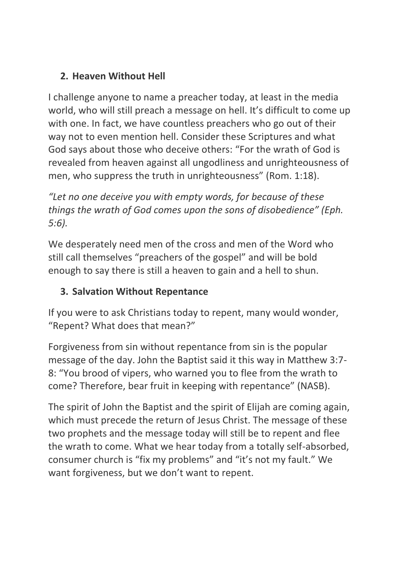## **2. Heaven Without Hell**

I challenge anyone to name a preacher today, at least in the media world, who will still preach a message on hell. It's difficult to come up with one. In fact, we have countless preachers who go out of their way not to even mention hell. Consider these Scriptures and what God says about those who deceive others: "For the wrath of God is revealed from heaven against all ungodliness and unrighteousness of men, who suppress the truth in unrighteousness" (Rom. 1:18).

*"Let no one deceive you with empty words, for because of these things the wrath of God comes upon the sons of disobedience" (Eph. 5:6).*

We desperately need men of the cross and men of the Word who still call themselves "preachers of the gospel" and will be bold enough to say there is still a heaven to gain and a hell to shun.

## **3. Salvation Without Repentance**

If you were to ask Christians today to repent, many would wonder, "Repent? What does that mean?"

Forgiveness from sin without repentance from sin is the popular message of the day. John the Baptist said it this way in Matthew 3:7- 8: "You brood of vipers, who warned you to flee from the wrath to come? Therefore, bear fruit in keeping with repentance" (NASB).

The spirit of John the Baptist and the spirit of Elijah are coming again, which must precede the return of Jesus Christ. The message of these two prophets and the message today will still be to repent and flee the wrath to come. What we hear today from a totally self-absorbed, consumer church is "fix my problems" and "it's not my fault." We want forgiveness, but we don't want to repent.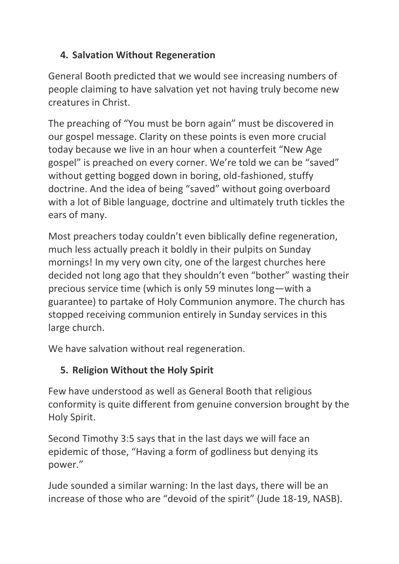### **4. Salvation Without Regeneration**

General Booth predicted that we would see increasing numbers of people claiming to have salvation yet not having truly become new creatures in Christ.

The preaching of "You must be born again" must be discovered in our gospel message. Clarity on these points is even more crucial today because we live in an hour when a counterfeit "New Age gospel" is preached on every corner. We're told we can be "saved" without getting bogged down in boring, old-fashioned, stuffy doctrine. And the idea of being "saved" without going overboard with a lot of Bible language, doctrine and ultimately truth tickles the ears of many.

Most preachers today couldn't even biblically define regeneration, much less actually preach it boldly in their pulpits on Sunday mornings! In my very own city, one of the largest churches here decided not long ago that they shouldn't even "bother" wasting their precious service time (which is only 59 minutes long—with a guarantee) to partake of Holy Communion anymore. The church has stopped receiving communion entirely in Sunday services in this large church.

We have salvation without real regeneration.

## **5. Religion Without the Holy Spirit**

Few have understood as well as General Booth that religious conformity is quite different from genuine conversion brought by the Holy Spirit.

Second Timothy 3:5 says that in the last days we will face an epidemic of those, "Having a form of godliness but denying its power."

Jude sounded a similar warning: In the last days, there will be an increase of those who are "devoid of the spirit" (Jude 18-19, NASB).